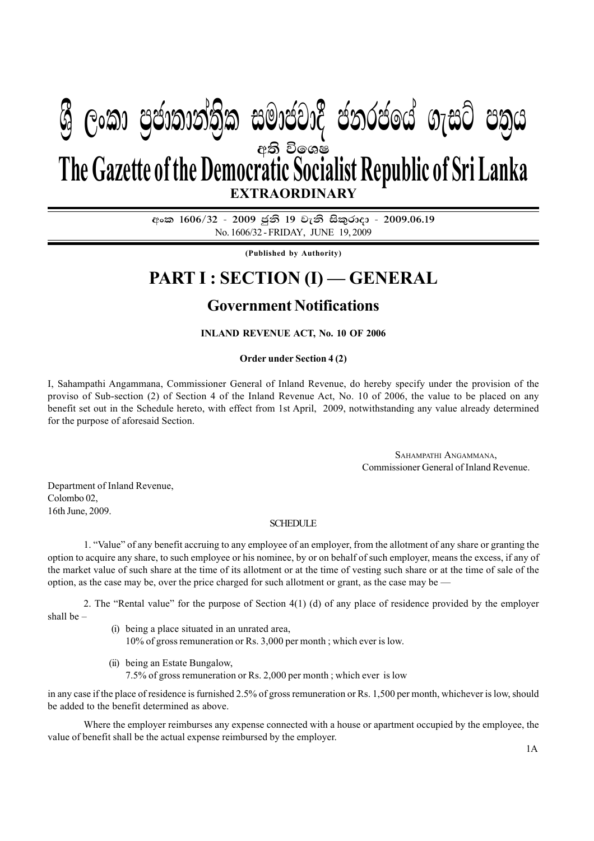# අති විඉශ**ෂ EXTRAORDINARY The Gazette of the Democratic Socialist Republic of Sri Lanka W Geibraid) (2019) and marital condem** algo chin

අංක 1606/32 - 2009 ජූනි 19 වැනි සිකුරාදා - 2009.06.19 No. 1606/32 - FRIDAY, JUNE 19, 2009

**(Published by Authority)**

# **PART I : SECTION (I) — GENERAL**

# **Government Notifications**

## **INLAND REVENUE ACT, No. 10 OF 2006**

#### **Order under Section 4 (2)**

I, Sahampathi Angammana, Commissioner General of Inland Revenue, do hereby specify under the provision of the proviso of Sub-section (2) of Section 4 of the Inland Revenue Act, No. 10 of 2006, the value to be placed on any benefit set out in the Schedule hereto, with effect from 1st April, 2009, notwithstanding any value already determined for the purpose of aforesaid Section.

> SAHAMPATHI ANGAMMANA, Commissioner General of Inland Revenue.

Department of Inland Revenue, Colombo 02, 16th June, 2009.

### **SCHEDULE**

1. "Value" of any benefit accruing to any employee of an employer, from the allotment of any share or granting the option to acquire any share, to such employee or his nominee, by or on behalf of such employer, means the excess, if any of the market value of such share at the time of its allotment or at the time of vesting such share or at the time of sale of the option, as the case may be, over the price charged for such allotment or grant, as the case may be —

2. The "Rental value" for the purpose of Section 4(1) (d) of any place of residence provided by the employer shall be –

- (i) being a place situated in an unrated area, 10% of gross remuneration or Rs. 3,000 per month ; which ever is low.
- (ii) being an Estate Bungalow, 7.5% of gross remuneration or Rs. 2,000 per month ; which ever is low

in any case if the place of residence is furnished 2.5% of gross remuneration or Rs. 1,500 per month, whichever is low, should be added to the benefit determined as above.

Where the employer reimburses any expense connected with a house or apartment occupied by the employee, the value of benefit shall be the actual expense reimbursed by the employer.